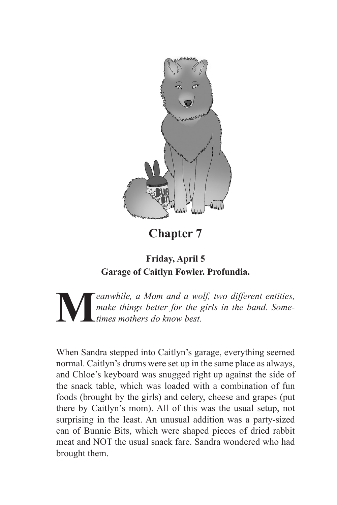

**Chapter 7**

## **Friday, April 5 Garage of Caitlyn Fowler. Profundia.**

**M** eanwhile, a Mom and a wolf, two different entities, make things better for the girls in the band. Some-<br>times mothers do know best. *make things better for the girls in the band. Sometimes mothers do know best.*

When Sandra stepped into Caitlyn's garage, everything seemed normal. Caitlyn's drums were set up in the same place as always, and Chloe's keyboard was snugged right up against the side of the snack table, which was loaded with a combination of fun foods (brought by the girls) and celery, cheese and grapes (put there by Caitlyn's mom). All of this was the usual setup, not surprising in the least. An unusual addition was a party-sized can of Bunnie Bits, which were shaped pieces of dried rabbit meat and NOT the usual snack fare. Sandra wondered who had brought them.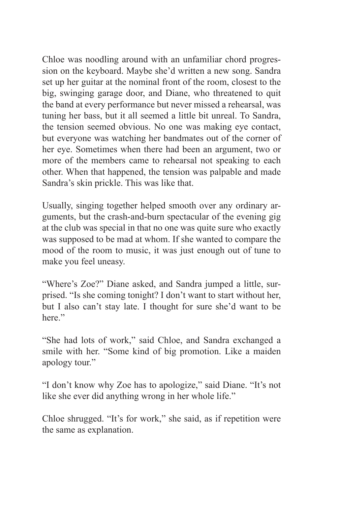Chloe was noodling around with an unfamiliar chord progression on the keyboard. Maybe she'd written a new song. Sandra set up her guitar at the nominal front of the room, closest to the big, swinging garage door, and Diane, who threatened to quit the band at every performance but never missed a rehearsal, was tuning her bass, but it all seemed a little bit unreal. To Sandra, the tension seemed obvious. No one was making eye contact, but everyone was watching her bandmates out of the corner of her eye. Sometimes when there had been an argument, two or more of the members came to rehearsal not speaking to each other. When that happened, the tension was palpable and made Sandra's skin prickle. This was like that.

Usually, singing together helped smooth over any ordinary arguments, but the crash-and-burn spectacular of the evening gig at the club was special in that no one was quite sure who exactly was supposed to be mad at whom. If she wanted to compare the mood of the room to music, it was just enough out of tune to make you feel uneasy.

"Where's Zoe?" Diane asked, and Sandra jumped a little, surprised. "Is she coming tonight? I don't want to start without her, but I also can't stay late. I thought for sure she'd want to be here."

"She had lots of work," said Chloe, and Sandra exchanged a smile with her. "Some kind of big promotion. Like a maiden apology tour."

"I don't know why Zoe has to apologize," said Diane. "It's not like she ever did anything wrong in her whole life."

Chloe shrugged. "It's for work," she said, as if repetition were the same as explanation.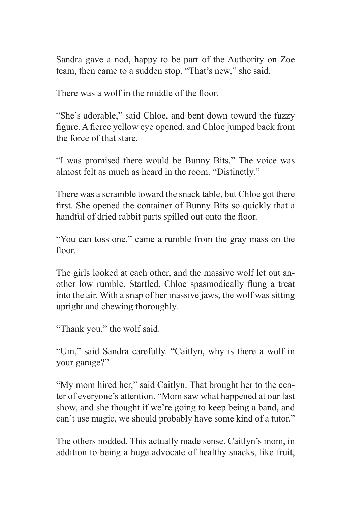Sandra gave a nod, happy to be part of the Authority on Zoe team, then came to a sudden stop. "That's new," she said.

There was a wolf in the middle of the floor.

"She's adorable," said Chloe, and bent down toward the fuzzy figure. A fierce yellow eye opened, and Chloe jumped back from the force of that stare.

"I was promised there would be Bunny Bits." The voice was almost felt as much as heard in the room. "Distinctly."

There was a scramble toward the snack table, but Chloe got there first. She opened the container of Bunny Bits so quickly that a handful of dried rabbit parts spilled out onto the floor.

"You can toss one," came a rumble from the gray mass on the floor.

The girls looked at each other, and the massive wolf let out another low rumble. Startled, Chloe spasmodically flung a treat into the air. With a snap of her massive jaws, the wolf was sitting upright and chewing thoroughly.

"Thank you," the wolf said.

"Um," said Sandra carefully. "Caitlyn, why is there a wolf in your garage?"

"My mom hired her," said Caitlyn. That brought her to the center of everyone's attention. "Mom saw what happened at our last show, and she thought if we're going to keep being a band, and can't use magic, we should probably have some kind of a tutor."

The others nodded. This actually made sense. Caitlyn's mom, in addition to being a huge advocate of healthy snacks, like fruit,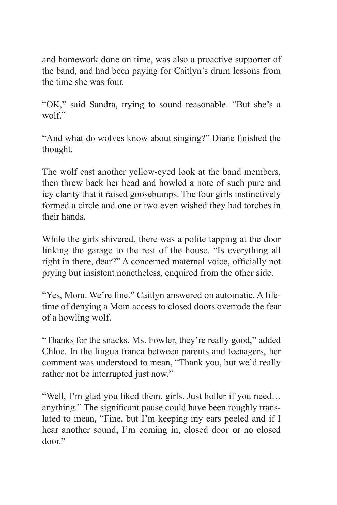and homework done on time, was also a proactive supporter of the band, and had been paying for Caitlyn's drum lessons from the time she was four.

"OK," said Sandra, trying to sound reasonable. "But she's a wolf."

"And what do wolves know about singing?" Diane finished the thought.

The wolf cast another yellow-eyed look at the band members, then threw back her head and howled a note of such pure and icy clarity that it raised goosebumps. The four girls instinctively formed a circle and one or two even wished they had torches in their hands.

While the girls shivered, there was a polite tapping at the door linking the garage to the rest of the house. "Is everything all right in there, dear?" A concerned maternal voice, officially not prying but insistent nonetheless, enquired from the other side.

"Yes, Mom. We're fine." Caitlyn answered on automatic. A lifetime of denying a Mom access to closed doors overrode the fear of a howling wolf.

"Thanks for the snacks, Ms. Fowler, they're really good," added Chloe. In the lingua franca between parents and teenagers, her comment was understood to mean, "Thank you, but we'd really rather not be interrupted just now."

"Well, I'm glad you liked them, girls. Just holler if you need… anything." The significant pause could have been roughly translated to mean, "Fine, but I'm keeping my ears peeled and if I hear another sound, I'm coming in, closed door or no closed door."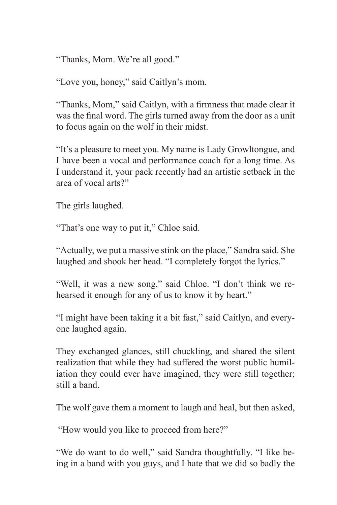"Thanks, Mom. We're all good."

"Love you, honey," said Caitlyn's mom.

"Thanks, Mom," said Caitlyn, with a firmness that made clear it was the final word. The girls turned away from the door as a unit to focus again on the wolf in their midst.

"It's a pleasure to meet you. My name is Lady Growltongue, and I have been a vocal and performance coach for a long time. As I understand it, your pack recently had an artistic setback in the area of vocal arts?"

The girls laughed.

"That's one way to put it," Chloe said.

"Actually, we put a massive stink on the place," Sandra said. She laughed and shook her head. "I completely forgot the lyrics."

"Well, it was a new song," said Chloe. "I don't think we rehearsed it enough for any of us to know it by heart."

"I might have been taking it a bit fast," said Caitlyn, and everyone laughed again.

They exchanged glances, still chuckling, and shared the silent realization that while they had suffered the worst public humiliation they could ever have imagined, they were still together; still a band.

The wolf gave them a moment to laugh and heal, but then asked,

"How would you like to proceed from here?"

"We do want to do well," said Sandra thoughtfully. "I like being in a band with you guys, and I hate that we did so badly the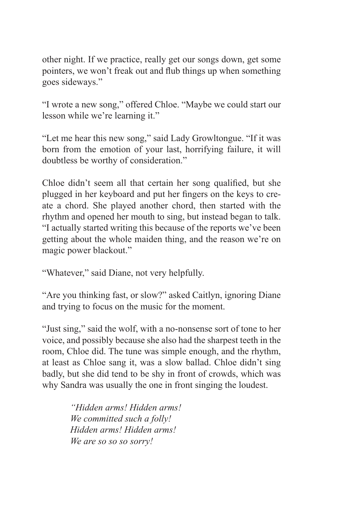other night. If we practice, really get our songs down, get some pointers, we won't freak out and flub things up when something goes sideways."

"I wrote a new song," offered Chloe. "Maybe we could start our lesson while we're learning it."

"Let me hear this new song," said Lady Growltongue. "If it was born from the emotion of your last, horrifying failure, it will doubtless be worthy of consideration."

Chloe didn't seem all that certain her song qualified, but she plugged in her keyboard and put her fingers on the keys to create a chord. She played another chord, then started with the rhythm and opened her mouth to sing, but instead began to talk. "I actually started writing this because of the reports we've been getting about the whole maiden thing, and the reason we're on magic power blackout."

"Whatever," said Diane, not very helpfully.

"Are you thinking fast, or slow?" asked Caitlyn, ignoring Diane and trying to focus on the music for the moment.

"Just sing," said the wolf, with a no-nonsense sort of tone to her voice, and possibly because she also had the sharpest teeth in the room, Chloe did. The tune was simple enough, and the rhythm, at least as Chloe sang it, was a slow ballad. Chloe didn't sing badly, but she did tend to be shy in front of crowds, which was why Sandra was usually the one in front singing the loudest.

> *"Hidden arms! Hidden arms! We committed such a folly! Hidden arms! Hidden arms! We are so so so sorry!*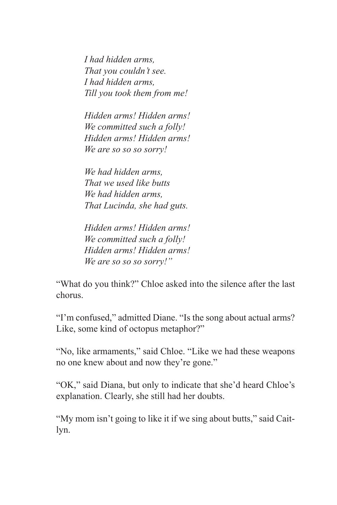*I had hidden arms, That you couldn't see. I had hidden arms, Till you took them from me!*

*Hidden arms! Hidden arms! We committed such a folly! Hidden arms! Hidden arms! We are so so so sorry!*

*We had hidden arms, That we used like butts We had hidden arms, That Lucinda, she had guts.*

*Hidden arms! Hidden arms! We committed such a folly! Hidden arms! Hidden arms! We are so so so sorry!"*

"What do you think?" Chloe asked into the silence after the last chorus.

"I'm confused," admitted Diane. "Is the song about actual arms? Like, some kind of octopus metaphor?"

"No, like armaments," said Chloe. "Like we had these weapons no one knew about and now they're gone."

"OK," said Diana, but only to indicate that she'd heard Chloe's explanation. Clearly, she still had her doubts.

"My mom isn't going to like it if we sing about butts," said Caitlyn.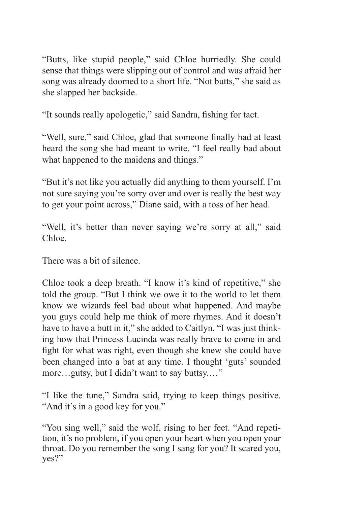"Butts, like stupid people," said Chloe hurriedly. She could sense that things were slipping out of control and was afraid her song was already doomed to a short life. "Not butts," she said as she slapped her backside.

"It sounds really apologetic," said Sandra, fishing for tact.

"Well, sure," said Chloe, glad that someone finally had at least heard the song she had meant to write. "I feel really bad about what happened to the maidens and things."

"But it's not like you actually did anything to them yourself. I'm not sure saying you're sorry over and over is really the best way to get your point across," Diane said, with a toss of her head.

"Well, it's better than never saying we're sorry at all," said Chloe.

There was a bit of silence.

Chloe took a deep breath. "I know it's kind of repetitive," she told the group. "But I think we owe it to the world to let them know we wizards feel bad about what happened. And maybe you guys could help me think of more rhymes. And it doesn't have to have a butt in it," she added to Caitlyn. "I was just thinking how that Princess Lucinda was really brave to come in and fight for what was right, even though she knew she could have been changed into a bat at any time. I thought 'guts' sounded more…gutsy, but I didn't want to say buttsy.…"

"I like the tune," Sandra said, trying to keep things positive. "And it's in a good key for you."

"You sing well," said the wolf, rising to her feet. "And repetition, it's no problem, if you open your heart when you open your throat. Do you remember the song I sang for you? It scared you, yes?"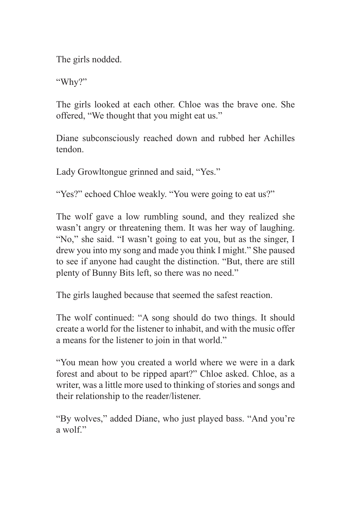The girls nodded.

"Why?"

The girls looked at each other. Chloe was the brave one. She offered, "We thought that you might eat us."

Diane subconsciously reached down and rubbed her Achilles tendon.

Lady Growltongue grinned and said, "Yes."

"Yes?" echoed Chloe weakly. "You were going to eat us?"

The wolf gave a low rumbling sound, and they realized she wasn't angry or threatening them. It was her way of laughing. "No," she said. "I wasn't going to eat you, but as the singer, I drew you into my song and made you think I might." She paused to see if anyone had caught the distinction. "But, there are still plenty of Bunny Bits left, so there was no need."

The girls laughed because that seemed the safest reaction.

The wolf continued: "A song should do two things. It should create a world for the listener to inhabit, and with the music offer a means for the listener to join in that world."

"You mean how you created a world where we were in a dark forest and about to be ripped apart?" Chloe asked. Chloe, as a writer, was a little more used to thinking of stories and songs and their relationship to the reader/listener.

"By wolves," added Diane, who just played bass. "And you're a wolf."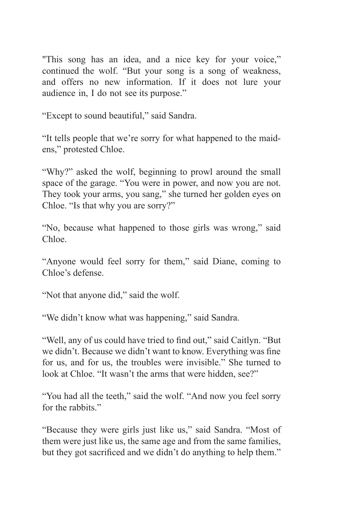"This song has an idea, and a nice key for your voice," continued the wolf. "But your song is a song of weakness, and offers no new information. If it does not lure your audience in, I do not see its purpose."

"Except to sound beautiful," said Sandra.

"It tells people that we're sorry for what happened to the maidens," protested Chloe.

"Why?" asked the wolf, beginning to prowl around the small space of the garage. "You were in power, and now you are not. They took your arms, you sang," she turned her golden eyes on Chloe. "Is that why you are sorry?"

"No, because what happened to those girls was wrong," said Chloe.

"Anyone would feel sorry for them," said Diane, coming to Chloe's defense.

"Not that anyone did," said the wolf.

"We didn't know what was happening," said Sandra.

"Well, any of us could have tried to find out," said Caitlyn. "But we didn't. Because we didn't want to know. Everything was fine for us, and for us, the troubles were invisible." She turned to look at Chloe. "It wasn't the arms that were hidden, see?"

"You had all the teeth," said the wolf. "And now you feel sorry for the rabbits."

"Because they were girls just like us," said Sandra. "Most of them were just like us, the same age and from the same families, but they got sacrificed and we didn't do anything to help them."